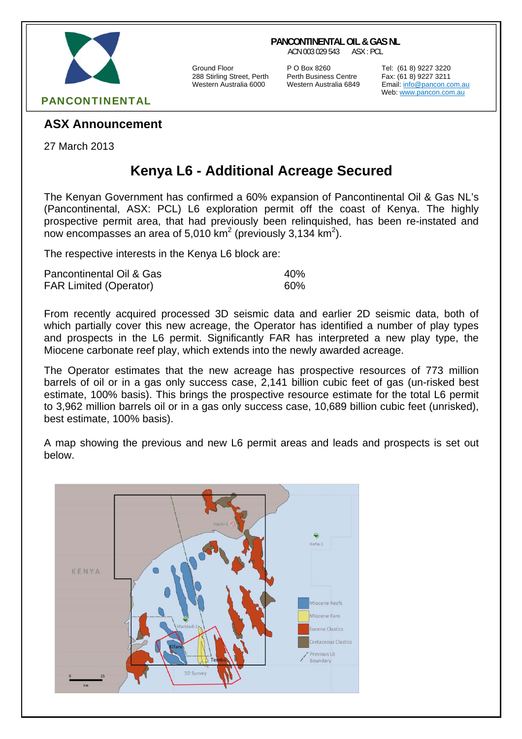

#### **PANCONTINENTAL OIL & GAS NL**

ACN 003 029 543 ASX : PCL

288 Stirling Street, Perth Perth Business Centre Fax: (61 8) 9227 3211

Ground Floor P O Box 8260 Tel: (61 8) 9227 3220

Email: info@pancon.com.au Web: www.pancon.com.au

## **ASX Announcement**

27 March 2013

# **Kenya L6 - Additional Acreage Secured**

The Kenyan Government has confirmed a 60% expansion of Pancontinental Oil & Gas NL's (Pancontinental, ASX: PCL) L6 exploration permit off the coast of Kenya. The highly prospective permit area, that had previously been relinquished, has been re-instated and now encompasses an area of 5,010 km<sup>2</sup> (previously 3,134 km<sup>2</sup>).

The respective interests in the Kenya L6 block are:

| Pancontinental Oil & Gas      | 40% |
|-------------------------------|-----|
| <b>FAR Limited (Operator)</b> | 60% |

From recently acquired processed 3D seismic data and earlier 2D seismic data, both of which partially cover this new acreage, the Operator has identified a number of play types and prospects in the L6 permit. Significantly FAR has interpreted a new play type, the Miocene carbonate reef play, which extends into the newly awarded acreage.

The Operator estimates that the new acreage has prospective resources of 773 million barrels of oil or in a gas only success case, 2,141 billion cubic feet of gas (un-risked best estimate, 100% basis). This brings the prospective resource estimate for the total L6 permit to 3,962 million barrels oil or in a gas only success case, 10,689 billion cubic feet (unrisked), best estimate, 100% basis).

A map showing the previous and new L6 permit areas and leads and prospects is set out below.